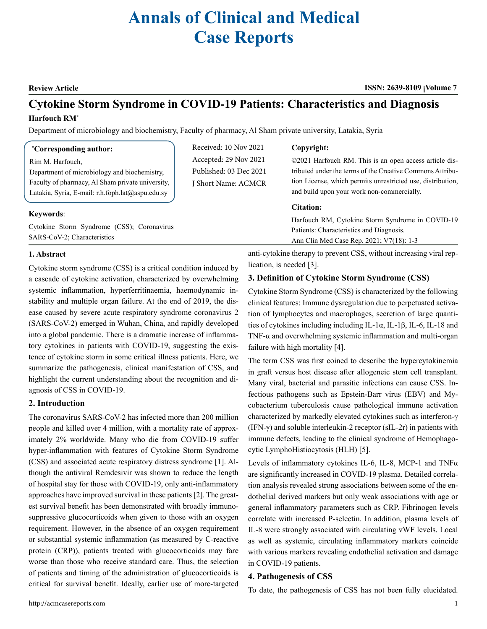# **Annals of Clinical and Medical Case Reports**

**Review Article ISSN: 2639-8109 Volume 7**

## **Cytokine Storm Syndrome in COVID-19 Patients: Characteristics and Diagnosis Harfouch RM\***

Department of microbiology and biochemistry, Faculty of pharmacy, Al Sham private university, Latakia, Syria

| <i>*Corresponding author:</i>                    | Received: 10 Nov 2021  | Copyright:                                                                         |
|--------------------------------------------------|------------------------|------------------------------------------------------------------------------------|
| Rim M. Harfouch,                                 | Accepted: 29 Nov 2021  | ©2021 Harfouch RM. This is an open access article dis-                             |
| Department of microbiology and biochemistry,     | Published: 03 Dec 2021 | tributed under the terms of the Creative Commons Attribu-                          |
| Faculty of pharmacy, Al Sham private university, | J Short Name: ACMCR    | tion License, which permits unrestricted use, distribution,                        |
| Latakia, Syria, E-mail: r.h.foph.lat@aspu.edu.sy |                        | and build upon your work non-commercially.                                         |
|                                                  |                        | <b>Citation:</b>                                                                   |
| Keywords:                                        |                        |                                                                                    |
|                                                  |                        | Harfouch RM, Cytokine Storm Syndrome in COVID-19                                   |
| Cytokine Storm Syndrome (CSS); Coronavirus       |                        | Patients: Characteristics and Diagnosis.                                           |
| SARS-CoV-2: Characteristics                      |                        | $\lambda = C1$ , $\lambda L = 1$ , $C_1 = D_2 = 2021$ , $\lambda I \pi (10) = 1.2$ |

#### **1. Abstract**

Cytokine storm syndrome (CSS) is a critical condition induced by a cascade of cytokine activation, characterized by overwhelming systemic inflammation, hyperferritinaemia, haemodynamic instability and multiple organ failure. At the end of 2019, the disease caused by severe acute respiratory syndrome coronavirus 2 (SARS-CoV-2) emerged in Wuhan, China, and rapidly developed into a global pandemic. There is a dramatic increase of inflammatory cytokines in patients with COVID-19, suggesting the existence of cytokine storm in some critical illness patients. Here, we summarize the pathogenesis, clinical manifestation of CSS, and highlight the current understanding about the recognition and diagnosis of CSS in COVID-19.

#### **2. Introduction**

The coronavirus SARS-CoV-2 has infected more than 200 million people and killed over 4 million, with a mortality rate of approximately 2% worldwide. Many who die from COVID-19 suffer hyper-inflammation with features of Cytokine Storm Syndrome (CSS) and associated acute respiratory distress syndrome [1]. Although the antiviral Remdesivir was shown to reduce the length of hospital stay for those with COVID-19, only anti-inflammatory approaches have improved survival in these patients [2]. The greatest survival benefit has been demonstrated with broadly immunosuppressive glucocorticoids when given to those with an oxygen requirement. However, in the absence of an oxygen requirement or substantial systemic inflammation (as measured by C-reactive protein (CRP)), patients treated with glucocorticoids may fare worse than those who receive standard care. Thus, the selection of patients and timing of the administration of glucocorticoids is critical for survival benefit. Ideally, earlier use of more-targeted

anti-cytokine therapy to prevent CSS, without increasing viral replication, is needed [3].

Ann Clin Med Case Rep. 2021; V7(18): 1-3

### **3. Definition of Cytokine Storm Syndrome (CSS)**

Cytokine Storm Syndrome (CSS) is characterized by the following clinical features: Immune dysregulation due to perpetuated activation of lymphocytes and macrophages, secretion of large quantities of cytokines including including IL-1 $\alpha$ , IL-1 $\beta$ , IL-6, IL-18 and TNF-α and overwhelming systemic inflammation and multi-organ failure with high mortality [4].

The term CSS was first coined to describe the hypercytokinemia in graft versus host disease after allogeneic stem cell transplant. Many viral, bacterial and parasitic infections can cause CSS. Infectious pathogens such as Epstein-Barr virus (EBV) and Mycobacterium tuberculosis cause pathological immune activation characterized by markedly elevated cytokines such as interferon-γ (IFN-γ) and soluble interleukin-2 receptor (sIL-2r) in patients with immune defects, leading to the clinical syndrome of Hemophagocytic LymphoHistiocytosis (HLH) [5].

Levels of inflammatory cytokines IL-6, IL-8, MCP-1 and TNFα are significantly increased in COVID-19 plasma. Detailed correlation analysis revealed strong associations between some of the endothelial derived markers but only weak associations with age or general inflammatory parameters such as CRP. Fibrinogen levels correlate with increased P-selectin. In addition, plasma levels of IL-8 were strongly associated with circulating vWF levels. Local as well as systemic, circulating inflammatory markers coincide with various markers revealing endothelial activation and damage in COVID-19 patients.

#### **4. Pathogenesis of CSS**

To date, the pathogenesis of CSS has not been fully elucidated.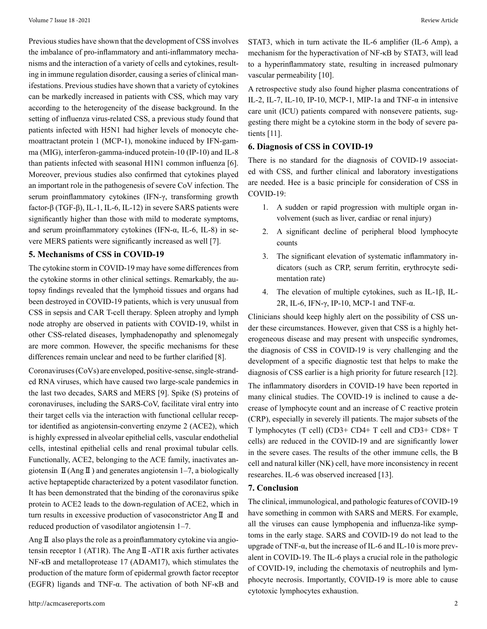Previous studies have shown that the development of CSS involves the imbalance of pro-inflammatory and anti-inflammatory mechanisms and the interaction of a variety of cells and cytokines, resulting in immune regulation disorder, causing a series of clinical manifestations. Previous studies have shown that a variety of cytokines can be markedly increased in patients with CSS, which may vary according to the heterogeneity of the disease background. In the setting of influenza virus-related CSS, a previous study found that patients infected with H5N1 had higher levels of monocyte chemoattractant protein 1 (MCP-1), monokine induced by IFN-gamma (MIG), interferon-gamma-induced protein-10 (IP-10) and IL-8 than patients infected with seasonal H1N1 common influenza [6]. Moreover, previous studies also confirmed that cytokines played an important role in the pathogenesis of severe CoV infection. The serum proinflammatory cytokines (IFN-γ, transforming growth factor-β (TGF-β), IL-1, IL-6, IL-12) in severe SARS patients were significantly higher than those with mild to moderate symptoms, and serum proinflammatory cytokines (IFN-α, IL-6, IL-8) in severe MERS patients were significantly increased as well [7].

#### **5. Mechanisms of CSS in COVID-19**

The cytokine storm in COVID-19 may have some differences from the cytokine storms in other clinical settings. Remarkably, the autopsy findings revealed that the lymphoid tissues and organs had been destroyed in COVID-19 patients, which is very unusual from CSS in sepsis and CAR T-cell therapy. Spleen atrophy and lymph node atrophy are observed in patients with COVID-19, whilst in other CSS-related diseases, lymphadenopathy and splenomegaly are more common. However, the specific mechanisms for these differences remain unclear and need to be further clarified [8].

Coronaviruses (CoVs) are enveloped, positive-sense, single-stranded RNA viruses, which have caused two large-scale pandemics in the last two decades, SARS and MERS [9]. Spike (S) proteins of coronaviruses, including the SARS-CoV, facilitate viral entry into their target cells via the interaction with functional cellular receptor identified as angiotensin-converting enzyme 2 (ACE2), which is highly expressed in alveolar epithelial cells, vascular endothelial cells, intestinal epithelial cells and renal proximal tubular cells. Functionally, ACE2, belonging to the ACE family, inactivates angiotensin  $\mathbb{I}$  (Ang  $\mathbb{I}$ ) and generates angiotensin 1–7, a biologically active heptapeptide characterized by a potent vasodilator function. It has been demonstrated that the binding of the coronavirus spike protein to ACE2 leads to the down-regulation of ACE2, which in turn results in excessive production of vasoconstrictor AngⅡ and reduced production of vasodilator angiotensin 1–7.

Ang **Ⅱ** also plays the role as a proinflammatory cytokine via angiotensin receptor 1 (AT1R). The AngⅡ-AT1R axis further activates NF-κB and metalloprotease 17 (ADAM17), which stimulates the production of the mature form of epidermal growth factor receptor (EGFR) ligands and TNF-α. The activation of both NF-κB and STAT3, which in turn activate the IL-6 amplifier (IL-6 Amp), a mechanism for the hyperactivation of NF-κB by STAT3, will lead to a hyperinflammatory state, resulting in increased pulmonary vascular permeability [10].

A retrospective study also found higher plasma concentrations of IL-2, IL-7, IL-10, IP-10, MCP-1, MIP-1a and TNF-α in intensive care unit (ICU) patients compared with nonsevere patients, suggesting there might be a cytokine storm in the body of severe patients [11].

#### **6. Diagnosis of CSS in COVID-19**

There is no standard for the diagnosis of COVID-19 associated with CSS, and further clinical and laboratory investigations are needed. Hee is a basic principle for consideration of CSS in COVID-19:

- 1. A sudden or rapid progression with multiple organ involvement (such as liver, cardiac or renal injury)
- 2. A significant decline of peripheral blood lymphocyte counts
- 3. The significant elevation of systematic inflammatory indicators (such as CRP, serum ferritin, erythrocyte sedimentation rate)
- 4. The elevation of multiple cytokines, such as IL-1β, IL-2R, IL-6, IFN- $\gamma$ , IP-10, MCP-1 and TNF- $\alpha$ .

Clinicians should keep highly alert on the possibility of CSS under these circumstances. However, given that CSS is a highly heterogeneous disease and may present with unspecific syndromes, the diagnosis of CSS in COVID-19 is very challenging and the development of a specific diagnostic test that helps to make the diagnosis of CSS earlier is a high priority for future research [12]. The inflammatory disorders in COVID-19 have been reported in many clinical studies. The COVID-19 is inclined to cause a decrease of lymphocyte count and an increase of C reactive protein (CRP), especially in severely ill patients. The major subsets of the T lymphocytes (T cell) (CD3+ CD4+ T cell and CD3+ CD8+ T cells) are reduced in the COVID-19 and are significantly lower in the severe cases. The results of the other immune cells, the B cell and natural killer (NK) cell, have more inconsistency in recent researches. IL-6 was observed increased [13].

#### **7. Conclusion**

The clinical, immunological, and pathologic features of COVID-19 have something in common with SARS and MERS. For example, all the viruses can cause lymphopenia and influenza-like symptoms in the early stage. SARS and COVID-19 do not lead to the upgrade of TNF-α, but the increase of IL-6 and IL-10 is more prevalent in COVID-19. The IL-6 plays a crucial role in the pathologic of COVID-19, including the chemotaxis of neutrophils and lymphocyte necrosis. Importantly, COVID-19 is more able to cause cytotoxic lymphocytes exhaustion.